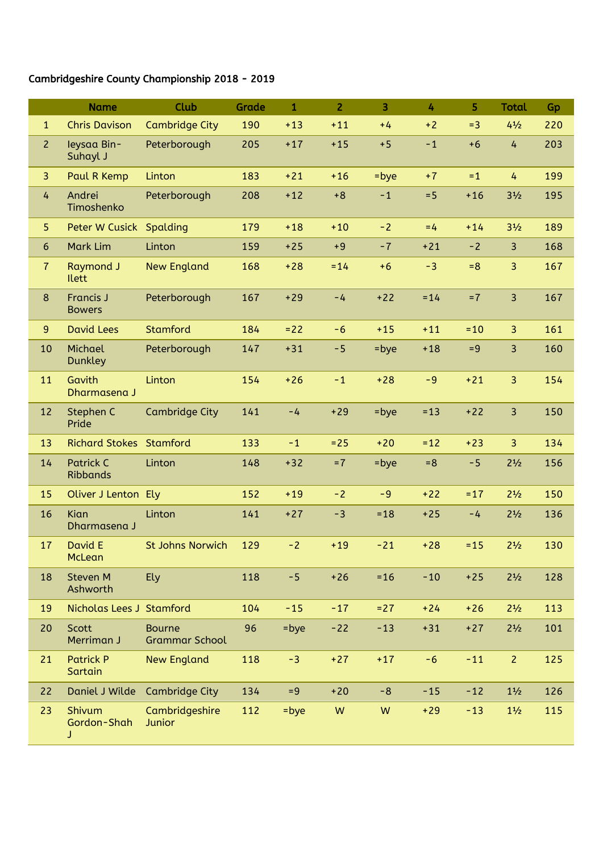## Cambridgeshire County Championship 2018 - 2019

|                | <b>Name</b>                         | Club                                   | Grade | $\mathbf{1}$ | $\overline{2}$ | $\overline{3}$ | 4      | 5      | <b>Total</b>                  | Gp  |
|----------------|-------------------------------------|----------------------------------------|-------|--------------|----------------|----------------|--------|--------|-------------------------------|-----|
| $\mathbf{1}$   | <b>Chris Davison</b>                | <b>Cambridge City</b>                  | 190   | $+13$        | $+11$          | $+4$           | $+2$   | $= 3$  | $4\frac{1}{2}$                | 220 |
| $\overline{2}$ | leysaa Bin-<br>Suhayl J             | Peterborough                           | 205   | $+17$        | $+15$          | $+5$           | $-1$   | $+6$   | $\overline{4}$                | 203 |
| $\overline{3}$ | Paul R Kemp                         | Linton                                 | 183   | $+21$        | $+16$          | $=$ bye        | $+7$   | $=1$   | 4                             | 199 |
| 4              | Andrei<br>Timoshenko                | Peterborough                           | 208   | $+12$        | $+8$           | $-1$           | $= 5$  | $+16$  | 3 <sup>1</sup> / <sub>2</sub> | 195 |
| 5              | Peter W Cusick Spalding             |                                        | 179   | $+18$        | $+10$          | $-2$           | $=4$   | $+14$  | 3 <sup>1</sup> / <sub>2</sub> | 189 |
| 6              | <b>Mark Lim</b>                     | Linton                                 | 159   | $+25$        | $+9$           | $-7$           | $+21$  | $-2$   | $\overline{3}$                | 168 |
| $\overline{7}$ | <b>Raymond J</b><br><b>Ilett</b>    | <b>New England</b>                     | 168   | $+28$        | $= 14$         | $+6$           | $-3$   | $= 8$  | 3                             | 167 |
| 8              | <b>Francis J</b><br><b>Bowers</b>   | Peterborough                           | 167   | $+29$        | $-4$           | $+22$          | $= 14$ | $= 7$  | $\overline{3}$                | 167 |
| 9              | <b>David Lees</b>                   | Stamford                               | 184   | $= 22$       | $-6$           | $+15$          | $+11$  | $=10$  | 3                             | 161 |
| 10             | Michael<br><b>Dunkley</b>           | Peterborough                           | 147   | $+31$        | $-5$           | =bye           | $+18$  | $= 9$  | 3                             | 160 |
| 11             | Gavith<br>Dharmasena J              | Linton                                 | 154   | $+26$        | $-1$           | $+28$          | $-9$   | $+21$  | 3                             | 154 |
| 12             | Stephen C<br>Pride                  | Cambridge City                         | 141   | $-4$         | $+29$          | $=$ bye        | $= 13$ | $+22$  | 3                             | 150 |
| 13             | <b>Richard Stokes Stamford</b>      |                                        | 133   | $-1$         | $= 25$         | $+20$          | $= 12$ | $+23$  | 3                             | 134 |
| 14             | <b>Patrick C</b><br><b>Ribbands</b> | Linton                                 | 148   | $+32$        | $=7$           | =bye           | $= 8$  | $-5$   | $2^{1/2}$                     | 156 |
| 15             | Oliver J Lenton Ely                 |                                        | 152   | $+19$        | $-2$           | $-9$           | $+22$  | $= 17$ | $2^{1/2}$                     | 150 |
| 16             | Kian<br>Dharmasena J                | Linton                                 | 141   | $+27$        | $-3$           | $= 18$         | $+25$  | $-4$   | $2^{1/2}$                     | 136 |
| 17             | David E<br>McLean                   | <b>St Johns Norwich</b>                | 129   | $-2$         | $+19$          | $-21$          | $+28$  | $= 15$ | $2\frac{1}{2}$                | 130 |
| 18             | Steven M<br>Ashworth                | Ely                                    | 118   | $-5$         | $+26$          | $= 16$         | $-10$  | $+25$  | $2\frac{1}{2}$                | 128 |
| 19             | Nicholas Lees J Stamford            |                                        | 104   | $-15$        | $-17$          | $= 27$         | $+24$  | $+26$  | $2\frac{1}{2}$                | 113 |
| 20             | Scott<br>Merriman J                 | <b>Bourne</b><br><b>Grammar School</b> | 96    | =bye         | $-22$          | $-13$          | $+31$  | $+27$  | $2^{1/2}$                     | 101 |
| 21             | <b>Patrick P</b><br>Sartain         | <b>New England</b>                     | 118   | $-3$         | $+27$          | $+17$          | $-6$   | $-11$  | $\overline{2}$                | 125 |
| 22             | Daniel J Wilde                      | <b>Cambridge City</b>                  | 134   | $= 9$        | $+20$          | $-8$           | $-15$  | $-12$  | $1\frac{1}{2}$                | 126 |
| 23             | Shivum<br>Gordon-Shah<br>J          | Cambridgeshire<br>Junior               | 112   | $=$ bye      | W              | W              | $+29$  | $-13$  | $1\frac{1}{2}$                | 115 |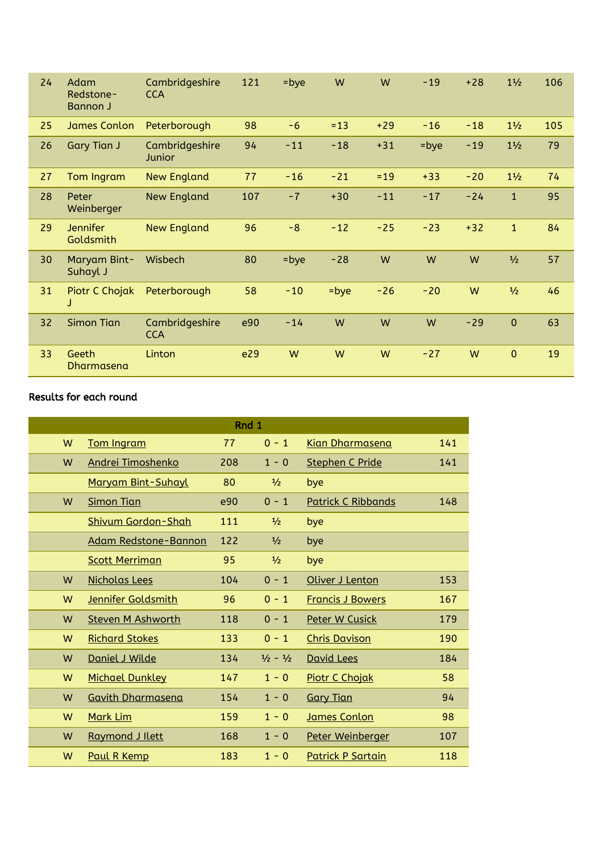| 24 | Adam<br>Redstone-<br><b>Bannon J</b> | Cambridgeshire<br><b>CCA</b> | 121 | $=$ bye | W       | W     | $-19$   | $+28$ | $1\frac{1}{2}$ | 106 |
|----|--------------------------------------|------------------------------|-----|---------|---------|-------|---------|-------|----------------|-----|
| 25 | <b>James Conlon</b>                  | Peterborough                 | 98  | $-6$    | $= 13$  | $+29$ | $-16$   | $-18$ | $1\frac{1}{2}$ | 105 |
| 26 | <b>Gary Tian J</b>                   | Cambridgeshire<br>Junior     | 94  | $-11$   | $-18$   | $+31$ | $=$ bye | $-19$ | $1\frac{1}{2}$ | 79  |
| 27 | Tom Ingram                           | <b>New England</b>           | 77  | $-16$   | $-21$   | $=19$ | $+33$   | $-20$ | $1\frac{1}{2}$ | 74  |
| 28 | Peter<br>Weinberger                  | <b>New England</b>           | 107 | $-7$    | $+30$   | $-11$ | $-17$   | $-24$ | $\mathbf{1}$   | 95  |
| 29 | <b>Jennifer</b><br>Goldsmith         | <b>New England</b>           | 96  | $-8$    | $-12$   | $-25$ | $-23$   | $+32$ | $\mathbf{1}$   | 84  |
| 30 | Maryam Bint-<br>Suhayl J             | Wisbech                      | 80  | $=$ bye | $-28$   | W     | W       | W     | $\frac{1}{2}$  | 57  |
| 31 | Piotr C Chojak                       | Peterborough                 | 58  | $-10$   | $=$ bye | $-26$ | $-20$   | W     | $\frac{1}{2}$  | 46  |
| 32 | <b>Simon Tian</b>                    | Cambridgeshire<br><b>CCA</b> | e90 | $-14$   | W       | W     | W       | $-29$ | $\mathbf{0}$   | 63  |
| 33 | Geeth<br>Dharmasena                  | Linton                       | e29 | W       | W       | W     | $-27$   | W     | $\mathbf{0}$   | 19  |

## Results for each round

|   |                           |     | Rnd 1                       |                           |     |
|---|---------------------------|-----|-----------------------------|---------------------------|-----|
| W | Tom Ingram                | 77  | $0 - 1$                     | <b>Kian Dharmasena</b>    | 141 |
| W | Andrei Timoshenko         | 208 | $1 - 0$                     | <b>Stephen C Pride</b>    | 141 |
|   | Maryam Bint-Suhayl        | 80  | $\frac{1}{2}$               | bye                       |     |
| W | <b>Simon Tian</b>         | e90 | $0 - 1$                     | <b>Patrick C Ribbands</b> | 148 |
|   | <b>Shivum Gordon-Shah</b> | 111 | $\frac{1}{2}$               | bye                       |     |
|   | Adam Redstone-Bannon      | 122 | $\frac{1}{2}$               | bye                       |     |
|   | <b>Scott Merriman</b>     | 95  | $\frac{1}{2}$               | bye                       |     |
| W | Nicholas Lees             | 104 | $0 - 1$                     | Oliver J Lenton           | 153 |
| W | Jennifer Goldsmith        | 96  | $0 - 1$                     | <b>Francis J Bowers</b>   | 167 |
| W | <b>Steven M Ashworth</b>  | 118 | $0 - 1$                     | <b>Peter W Cusick</b>     | 179 |
| W | <b>Richard Stokes</b>     | 133 | $0 - 1$                     | <b>Chris Davison</b>      | 190 |
| W | Daniel J Wilde            | 134 | $\frac{1}{2} - \frac{1}{2}$ | <b>David Lees</b>         | 184 |
| W | <b>Michael Dunkley</b>    | 147 | $1 - 0$                     | <b>Piotr C Chojak</b>     | 58  |
| W | <b>Gavith Dharmasena</b>  | 154 | $1 - 0$                     | <b>Gary Tian</b>          | 94  |
| W | Mark Lim                  | 159 | $1 - 0$                     | James Conlon              | 98  |
| W | Raymond J Ilett           | 168 | $1 - 0$                     | Peter Weinberger          | 107 |
| W | Paul R Kemp               | 183 | $1 - 0$                     | <b>Patrick P Sartain</b>  | 118 |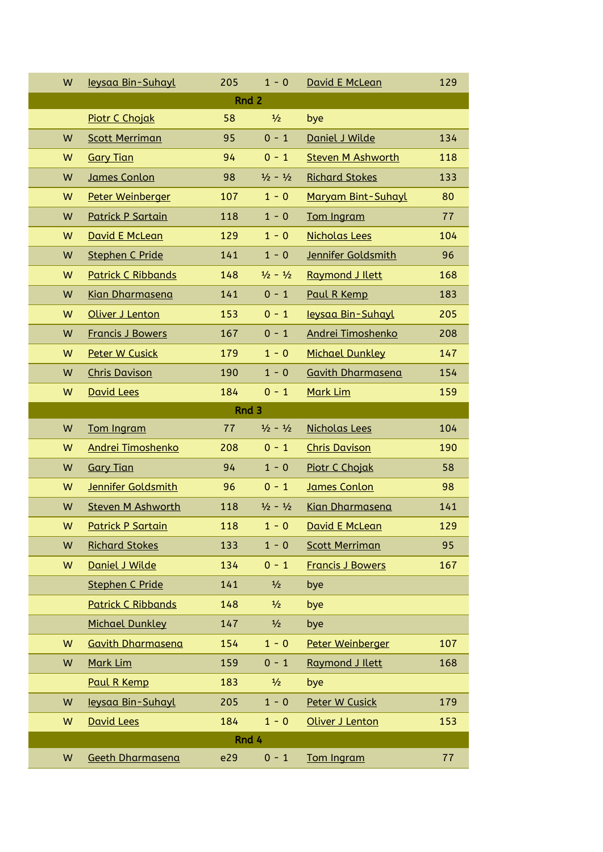| W | leysaa Bin-Suhayl         | 205   | $1 - 0$                     | David E McLean           | 129 |
|---|---------------------------|-------|-----------------------------|--------------------------|-----|
|   |                           | Rnd 2 |                             |                          |     |
|   | Piotr C Chojak            | 58    | $\frac{1}{2}$               | bye                      |     |
| W | <b>Scott Merriman</b>     | 95    | $0 - 1$                     | Daniel J Wilde           | 134 |
| W | <b>Gary Tian</b>          | 94    | $0 - 1$                     | <b>Steven M Ashworth</b> | 118 |
| W | James Conlon              | 98    | $\frac{1}{2} - \frac{1}{2}$ | <b>Richard Stokes</b>    | 133 |
| W | Peter Weinberger          | 107   | $1 - 0$                     | Maryam Bint-Suhayl       | 80  |
| W | <b>Patrick P Sartain</b>  | 118   | $1 - 0$                     | Tom Ingram               | 77  |
| W | David E McLean            | 129   | $1 - 0$                     | <b>Nicholas Lees</b>     | 104 |
| W | <b>Stephen C Pride</b>    | 141   | $1 - 0$                     | Jennifer Goldsmith       | 96  |
| W | <b>Patrick C Ribbands</b> | 148   | $\frac{1}{2} - \frac{1}{2}$ | <b>Raymond J Ilett</b>   | 168 |
| W | <b>Kian Dharmasena</b>    | 141   | $0 - 1$                     | Paul R Kemp              | 183 |
| W | Oliver J Lenton           | 153   | $0 - 1$                     | leysaa Bin-Suhayl        | 205 |
| W | <b>Francis J Bowers</b>   | 167   | $0 - 1$                     | Andrei Timoshenko        | 208 |
| W | Peter W Cusick            | 179   | $1 - 0$                     | <b>Michael Dunkley</b>   | 147 |
| W | <b>Chris Davison</b>      | 190   | $1 - 0$                     | <b>Gavith Dharmasena</b> | 154 |
| W | David Lees                | 184   | $0 - 1$                     | Mark Lim                 | 159 |
|   |                           | Rnd 3 |                             |                          |     |
| W | Tom Ingram                | 77    | $\frac{1}{2} - \frac{1}{2}$ | Nicholas Lees            | 104 |
| W | Andrei Timoshenko         | 208   | $0 - 1$                     | <b>Chris Davison</b>     | 190 |
| W | <b>Gary Tian</b>          | 94    | $1 - 0$                     | <b>Piotr C Chojak</b>    | 58  |
| W | Jennifer Goldsmith        | 96    | $0 - 1$                     | James Conlon             | 98  |
| W | <b>Steven M Ashworth</b>  | 118   | $\frac{1}{2} - \frac{1}{2}$ | <b>Kian Dharmasena</b>   | 141 |
| W | <b>Patrick P Sartain</b>  | 118   | $1 - 0$                     | <u>David E McLean</u>    | 129 |
| W | <b>Richard Stokes</b>     | 133   | $1 - 0$                     | <b>Scott Merriman</b>    | 95  |
| W | Daniel J Wilde            | 134   | $0 - 1$                     | <b>Francis J Bowers</b>  | 167 |
|   | <b>Stephen C Pride</b>    | 141   | $\frac{1}{2}$               | bye                      |     |
|   | <b>Patrick C Ribbands</b> | 148   | $\frac{1}{2}$               | bye                      |     |
|   | <b>Michael Dunkley</b>    | 147   | $\frac{1}{2}$               | bye                      |     |
| W | <b>Gavith Dharmasena</b>  | 154   | $1 - 0$                     | Peter Weinberger         | 107 |
| W | Mark Lim                  | 159   | $0 - 1$                     | Raymond J Ilett          | 168 |
|   | Paul R Kemp               | 183   | $\frac{1}{2}$               | bye                      |     |
| W | leysaa Bin-Suhayl         | 205   | $1 - 0$                     | Peter W Cusick           | 179 |
| W | <b>David Lees</b>         | 184   | $1 - 0$                     | Oliver J Lenton          | 153 |
|   |                           | Rnd 4 |                             |                          |     |
| W | Geeth Dharmasena          | e29   | $0 - 1$                     | Tom Ingram               | 77  |